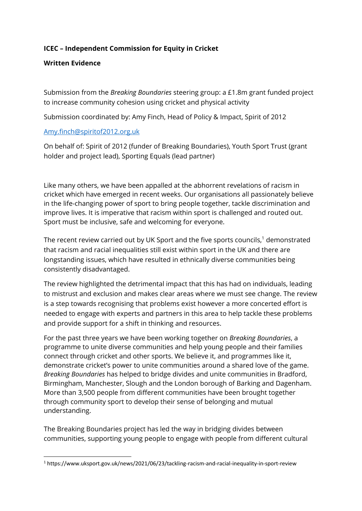### **ICEC – Independent Commission for Equity in Cricket**

#### **Written Evidence**

Submission from the *Breaking Boundaries* steering group: a £1.8m grant funded project to increase community cohesion using cricket and physical activity

Submission coordinated by: Amy Finch, Head of Policy & Impact, Spirit of 2012

#### [Amy.finch@spiritof2012.org.uk](mailto:Amy.finch@spiritof2012.org.uk)

On behalf of: Spirit of 2012 (funder of Breaking Boundaries), Youth Sport Trust (grant holder and project lead), Sporting Equals (lead partner)

Like many others, we have been appalled at the abhorrent revelations of racism in cricket which have emerged in recent weeks. Our organisations all passionately believe in the life-changing power of sport to bring people together, tackle discrimination and improve lives. It is imperative that racism within sport is challenged and routed out. Sport must be inclusive, safe and welcoming for everyone.

The recent review carried out by UK Sport and the five sports councils, $1$  demonstrated that racism and racial inequalities still exist within sport in the UK and there are longstanding issues, which have resulted in ethnically diverse communities being consistently disadvantaged.

The review highlighted the detrimental impact that this has had on individuals, leading to mistrust and exclusion and makes clear areas where we must see change. The review is a step towards recognising that problems exist however a more concerted effort is needed to engage with experts and partners in this area to help tackle these problems and provide support for a shift in thinking and resources.

For the past three years we have been working together on *Breaking Boundaries*, a programme to unite diverse communities and help young people and their families connect through cricket and other sports. We believe it, and programmes like it, demonstrate cricket's power to unite communities around a shared love of the game. *Breaking Boundaries* has helped to bridge divides and unite communities in Bradford, Birmingham, Manchester, Slough and the London borough of Barking and Dagenham. More than 3,500 people from different communities have been brought together through community sport to develop their sense of belonging and mutual understanding.

The Breaking Boundaries project has led the way in bridging divides between communities, supporting young people to engage with people from different cultural

<sup>1</sup> https://www.uksport.gov.uk/news/2021/06/23/tackling-racism-and-racial-inequality-in-sport-review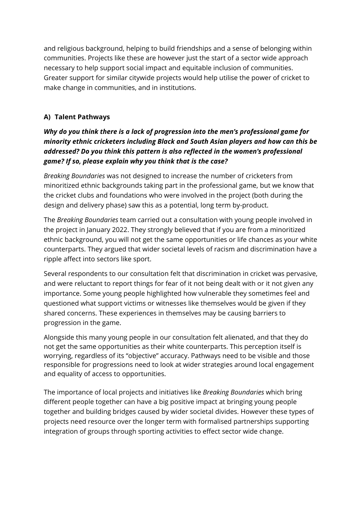and religious background, helping to build friendships and a sense of belonging within communities. Projects like these are however just the start of a sector wide approach necessary to help support social impact and equitable inclusion of communities. Greater support for similar citywide projects would help utilise the power of cricket to make change in communities, and in institutions.

# **A) Talent Pathways**

# *Why do you think there is a lack of progression into the men's professional game for minority ethnic cricketers including Black and South Asian players and how can this be addressed? Do you think this pattern is also reflected in the women's professional game? If so, please explain why you think that is the case?*

*Breaking Boundaries* was not designed to increase the number of cricketers from minoritized ethnic backgrounds taking part in the professional game, but we know that the cricket clubs and foundations who were involved in the project (both during the design and delivery phase) saw this as a potential, long term by-product.

The *Breaking Boundaries* team carried out a consultation with young people involved in the project in January 2022. They strongly believed that if you are from a minoritized ethnic background, you will not get the same opportunities or life chances as your white counterparts. They argued that wider societal levels of racism and discrimination have a ripple affect into sectors like sport.

Several respondents to our consultation felt that discrimination in cricket was pervasive, and were reluctant to report things for fear of it not being dealt with or it not given any importance. Some young people highlighted how vulnerable they sometimes feel and questioned what support victims or witnesses like themselves would be given if they shared concerns. These experiences in themselves may be causing barriers to progression in the game.

Alongside this many young people in our consultation felt alienated, and that they do not get the same opportunities as their white counterparts. This perception itself is worrying, regardless of its "objective" accuracy. Pathways need to be visible and those responsible for progressions need to look at wider strategies around local engagement and equality of access to opportunities.

The importance of local projects and initiatives like *Breaking Boundaries* which bring different people together can have a big positive impact at bringing young people together and building bridges caused by wider societal divides. However these types of projects need resource over the longer term with formalised partnerships supporting integration of groups through sporting activities to effect sector wide change.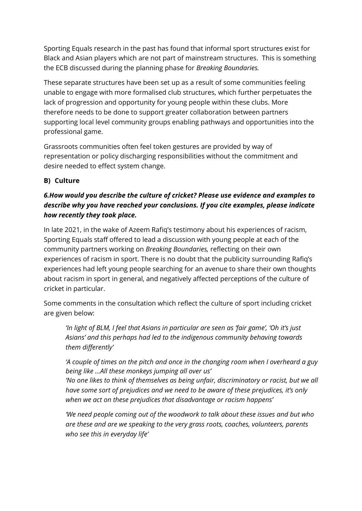Sporting Equals research in the past has found that informal sport structures exist for Black and Asian players which are not part of mainstream structures. This is something the ECB discussed during the planning phase for *Breaking Boundaries.*

These separate structures have been set up as a result of some communities feeling unable to engage with more formalised club structures, which further perpetuates the lack of progression and opportunity for young people within these clubs. More therefore needs to be done to support greater collaboration between partners supporting local level community groups enabling pathways and opportunities into the professional game.

Grassroots communities often feel token gestures are provided by way of representation or policy discharging responsibilities without the commitment and desire needed to effect system change.

## **B) Culture**

# *6.How would you describe the culture of cricket? Please use evidence and examples to describe why you have reached your conclusions. If you cite examples, please indicate how recently they took place.*

In late 2021, in the wake of Azeem Rafiq's testimony about his experiences of racism, Sporting Equals staff offered to lead a discussion with young people at each of the community partners working on *Breaking Boundaries,* reflecting on their own experiences of racism in sport. There is no doubt that the publicity surrounding Rafiq's experiences had left young people searching for an avenue to share their own thoughts about racism in sport in general, and negatively affected perceptions of the culture of cricket in particular.

Some comments in the consultation which reflect the culture of sport including cricket are given below:

*'In light of BLM, I feel that Asians in particular are seen as 'fair game', 'Oh it's just Asians' and this perhaps had led to the indigenous community behaving towards them differently'*

*'A couple of times on the pitch and once in the changing room when I overheard a guy being like ...All these monkeys jumping all over us'*

*'No one likes to think of themselves as being unfair, discriminatory or racist, but we all have some sort of prejudices and we need to be aware of these prejudices, it's only when we act on these prejudices that disadvantage or racism happens'*

*'We need people coming out of the woodwork to talk about these issues and but who are these and are we speaking to the very grass roots, coaches, volunteers, parents who see this in everyday life'*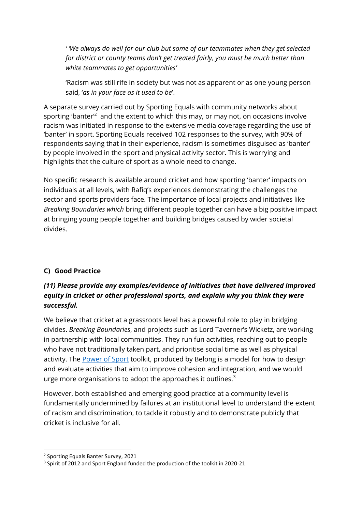*' 'We always do well for our club but some of our teammates when they get selected for district or county teams don't get treated fairly, you must be much better than white teammates to get opportunities'*

'Racism was still rife in society but was not as apparent or as one young person said, '*as in your face as it used to be*'.

A separate survey carried out by Sporting Equals with community networks about sporting 'banter<sup>'2</sup> and the extent to which this may, or may not, on occasions involve racism was initiated in response to the extensive media coverage regarding the use of 'banter' in sport. Sporting Equals received 102 responses to the survey, with 90% of respondents saying that in their experience, racism is sometimes disguised as 'banter' by people involved in the sport and physical activity sector. This is worrying and highlights that the culture of sport as a whole need to change.

No specific research is available around cricket and how sporting 'banter' impacts on individuals at all levels, with Rafiq's experiences demonstrating the challenges the sector and sports providers face. The importance of local projects and initiatives like *Breaking Boundaries which* bring different people together can have a big positive impact at bringing young people together and building bridges caused by wider societal divides.

# **C) Good Practice**

## *(11) Please provide any examples/evidence of initiatives that have delivered improved equity in cricket or other professional sports, and explain why you think they were successful.*

We believe that cricket at a grassroots level has a powerful role to play in bridging divides. *Breaking Boundaries*, and projects such as Lord Taverner's Wicketz, are working in partnership with local communities. They run fun activities, reaching out to people who have not traditionally taken part, and prioritise social time as well as physical activity. The [Power of Sport](https://www.belongnetwork.co.uk/) toolkit, produced by Belong is a model for how to design and evaluate activities that aim to improve cohesion and integration, and we would urge more organisations to adopt the approaches it outlines.<sup>3</sup>

However, both established and emerging good practice at a community level is fundamentally undermined by failures at an institutional level to understand the extent of racism and discrimination, to tackle it robustly and to demonstrate publicly that cricket is inclusive for all.

<sup>2</sup> Sporting Equals Banter Survey, 2021

<sup>&</sup>lt;sup>3</sup> Spirit of 2012 and Sport England funded the production of the toolkit in 2020-21.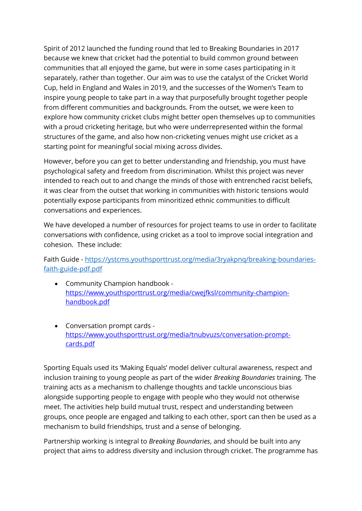Spirit of 2012 launched the funding round that led to Breaking Boundaries in 2017 because we knew that cricket had the potential to build common ground between communities that all enjoyed the game, but were in some cases participating in it separately, rather than together. Our aim was to use the catalyst of the Cricket World Cup, held in England and Wales in 2019, and the successes of the Women's Team to inspire young people to take part in a way that purposefully brought together people from different communities and backgrounds. From the outset, we were keen to explore how community cricket clubs might better open themselves up to communities with a proud cricketing heritage, but who were underrepresented within the formal structures of the game, and also how non-cricketing venues might use cricket as a starting point for meaningful social mixing across divides.

However, before you can get to better understanding and friendship, you must have psychological safety and freedom from discrimination. Whilst this project was never intended to reach out to and change the minds of those with entrenched racist beliefs, it was clear from the outset that working in communities with historic tensions would potentially expose participants from minoritized ethnic communities to difficult conversations and experiences.

We have developed a number of resources for project teams to use in order to facilitate conversations with confidence, using cricket as a tool to improve social integration and cohesion. These include:

Faith Guide - [https://ystcms.youthsporttrust.org/media/3ryakpnq/breaking-boundaries](https://ystcms.youthsporttrust.org/media/3ryakpnq/breaking-boundaries-faith-guide-pdf.pdf)[faith-guide-pdf.pdf](https://ystcms.youthsporttrust.org/media/3ryakpnq/breaking-boundaries-faith-guide-pdf.pdf)

- Community Champion handbook [https://www.youthsporttrust.org/media/cwejfksl/community-champion](https://eur02.safelinks.protection.outlook.com/?url=https%3A%2F%2Fwww.youthsporttrust.org%2Fmedia%2Fcwejfksl%2Fcommunity-champion-handbook.pdf&data=04%7C01%7Cjennie.jordan%40youthsporttrust.org%7C9afc0dd57fbe43ddb3a508da1de95870%7C1edf6d8569a74432ab4c4f127bbfeedd%7C0%7C0%7C637855185297147185%7CUnknown%7CTWFpbGZsb3d8eyJWIjoiMC4wLjAwMDAiLCJQIjoiV2luMzIiLCJBTiI6Ik1haWwiLCJXVCI6Mn0%3D%7C3000&sdata=zZIlm6Vpazk1Saogs2VSx9l%2BXNqv8V25BCOmi9MwqU0%3D&reserved=0)[handbook.pdf](https://eur02.safelinks.protection.outlook.com/?url=https%3A%2F%2Fwww.youthsporttrust.org%2Fmedia%2Fcwejfksl%2Fcommunity-champion-handbook.pdf&data=04%7C01%7Cjennie.jordan%40youthsporttrust.org%7C9afc0dd57fbe43ddb3a508da1de95870%7C1edf6d8569a74432ab4c4f127bbfeedd%7C0%7C0%7C637855185297147185%7CUnknown%7CTWFpbGZsb3d8eyJWIjoiMC4wLjAwMDAiLCJQIjoiV2luMzIiLCJBTiI6Ik1haWwiLCJXVCI6Mn0%3D%7C3000&sdata=zZIlm6Vpazk1Saogs2VSx9l%2BXNqv8V25BCOmi9MwqU0%3D&reserved=0)
- Conversation prompt cards [https://www.youthsporttrust.org/media/tnubvuzs/conversation-prompt](https://eur02.safelinks.protection.outlook.com/?url=https%3A%2F%2Fwww.youthsporttrust.org%2Fmedia%2Ftnubvuzs%2Fconversation-prompt-cards.pdf&data=04%7C01%7Cjennie.jordan%40youthsporttrust.org%7C9afc0dd57fbe43ddb3a508da1de95870%7C1edf6d8569a74432ab4c4f127bbfeedd%7C0%7C0%7C637855185297147185%7CUnknown%7CTWFpbGZsb3d8eyJWIjoiMC4wLjAwMDAiLCJQIjoiV2luMzIiLCJBTiI6Ik1haWwiLCJXVCI6Mn0%3D%7C3000&sdata=ZOmf9jbzkfcxrB79NID1WEikFDjrYLpvXe8ShebpjCM%3D&reserved=0)[cards.pdf](https://eur02.safelinks.protection.outlook.com/?url=https%3A%2F%2Fwww.youthsporttrust.org%2Fmedia%2Ftnubvuzs%2Fconversation-prompt-cards.pdf&data=04%7C01%7Cjennie.jordan%40youthsporttrust.org%7C9afc0dd57fbe43ddb3a508da1de95870%7C1edf6d8569a74432ab4c4f127bbfeedd%7C0%7C0%7C637855185297147185%7CUnknown%7CTWFpbGZsb3d8eyJWIjoiMC4wLjAwMDAiLCJQIjoiV2luMzIiLCJBTiI6Ik1haWwiLCJXVCI6Mn0%3D%7C3000&sdata=ZOmf9jbzkfcxrB79NID1WEikFDjrYLpvXe8ShebpjCM%3D&reserved=0)

Sporting Equals used its 'Making Equals' model deliver cultural awareness, respect and inclusion training to young people as part of the wider *Breaking Boundaries* training. The training acts as a mechanism to challenge thoughts and tackle unconscious bias alongside supporting people to engage with people who they would not otherwise meet. The activities help build mutual trust, respect and understanding between groups, once people are engaged and talking to each other, sport can then be used as a mechanism to build friendships, trust and a sense of belonging.

Partnership working is integral to *Breaking Boundaries*, and should be built into any project that aims to address diversity and inclusion through cricket. The programme has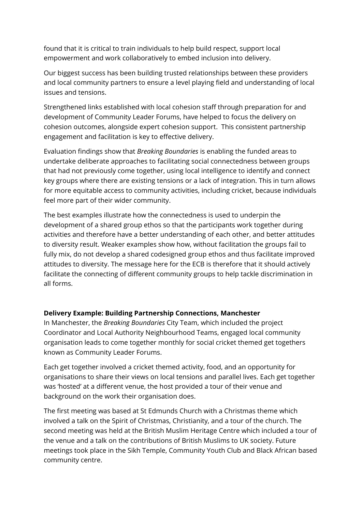found that it is critical to train individuals to help build respect, support local empowerment and work collaboratively to embed inclusion into delivery.

Our biggest success has been building trusted relationships between these providers and local community partners to ensure a level playing field and understanding of local issues and tensions.

Strengthened links established with local cohesion staff through preparation for and development of Community Leader Forums, have helped to focus the delivery on cohesion outcomes, alongside expert cohesion support. This consistent partnership engagement and facilitation is key to effective delivery.

Evaluation findings show that *Breaking Boundaries* is enabling the funded areas to undertake deliberate approaches to facilitating social connectedness between groups that had not previously come together, using local intelligence to identify and connect key groups where there are existing tensions or a lack of integration. This in turn allows for more equitable access to community activities, including cricket, because individuals feel more part of their wider community.

The best examples illustrate how the connectedness is used to underpin the development of a shared group ethos so that the participants work together during activities and therefore have a better understanding of each other, and better attitudes to diversity result. Weaker examples show how, without facilitation the groups fail to fully mix, do not develop a shared codesigned group ethos and thus facilitate improved attitudes to diversity. The message here for the ECB is therefore that it should actively facilitate the connecting of different community groups to help tackle discrimination in all forms.

### **Delivery Example: Building Partnership Connections, Manchester**

In Manchester, the *Breaking Boundaries* City Team, which included the project Coordinator and Local Authority Neighbourhood Teams, engaged local community organisation leads to come together monthly for social cricket themed get togethers known as Community Leader Forums.

Each get together involved a cricket themed activity, food, and an opportunity for organisations to share their views on local tensions and parallel lives. Each get together was 'hosted' at a different venue, the host provided a tour of their venue and background on the work their organisation does.

The first meeting was based at St Edmunds Church with a Christmas theme which involved a talk on the Spirit of Christmas, Christianity, and a tour of the church. The second meeting was held at the British Muslim Heritage Centre which included a tour of the venue and a talk on the contributions of British Muslims to UK society. Future meetings took place in the Sikh Temple, Community Youth Club and Black African based community centre.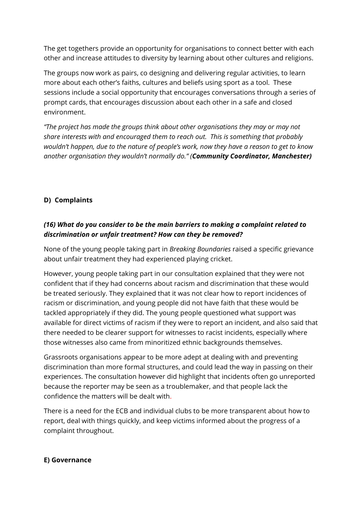The get togethers provide an opportunity for organisations to connect better with each other and increase attitudes to diversity by learning about other cultures and religions.

The groups now work as pairs, co designing and delivering regular activities, to learn more about each other's faiths, cultures and beliefs using sport as a tool. These sessions include a social opportunity that encourages conversations through a series of prompt cards, that encourages discussion about each other in a safe and closed environment.

*"The project has made the groups think about other organisations they may or may not share interests with and encouraged them to reach out. This is something that probably wouldn't happen, due to the nature of people's work, now they have a reason to get to know another organisation they wouldn't normally do." (Community Coordinator, Manchester)*

## **D) Complaints**

## *(16) What do you consider to be the main barriers to making a complaint related to discrimination or unfair treatment? How can they be removed?*

None of the young people taking part in *Breaking Boundaries* raised a specific grievance about unfair treatment they had experienced playing cricket.

However, young people taking part in our consultation explained that they were not confident that if they had concerns about racism and discrimination that these would be treated seriously. They explained that it was not clear how to report incidences of racism or discrimination, and young people did not have faith that these would be tackled appropriately if they did. The young people questioned what support was available for direct victims of racism if they were to report an incident, and also said that there needed to be clearer support for witnesses to racist incidents, especially where those witnesses also came from minoritized ethnic backgrounds themselves.

Grassroots organisations appear to be more adept at dealing with and preventing discrimination than more formal structures, and could lead the way in passing on their experiences. The consultation however did highlight that incidents often go unreported because the reporter may be seen as a troublemaker, and that people lack the confidence the matters will be dealt with.

There is a need for the ECB and individual clubs to be more transparent about how to report, deal with things quickly, and keep victims informed about the progress of a complaint throughout.

### **E) Governance**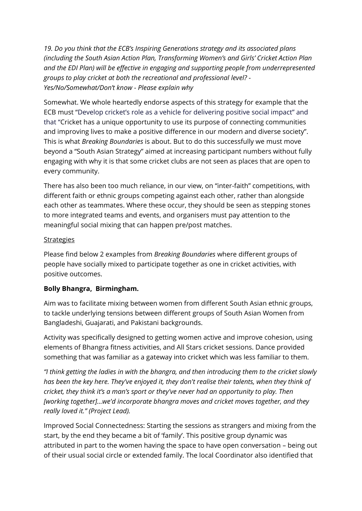*19. Do you think that the ECB's Inspiring Generations strategy and its associated plans (including the South Asian Action Plan, Transforming Women's and Girls' Cricket Action Plan and the EDI Plan) will be effective in engaging and supporting people from underrepresented groups to play cricket at both the recreational and professional level? - Yes/No/Somewhat/Don't know - Please explain why* 

Somewhat. We whole heartedly endorse aspects of this strategy for example that the ECB must "Develop cricket's role as a vehicle for delivering positive social impact" and that "Cricket has a unique opportunity to use its purpose of connecting communities and improving lives to make a positive difference in our modern and diverse society". This is what *Breaking Boundaries* is about. But to do this successfully we must move beyond a "South Asian Strategy" aimed at increasing participant numbers without fully engaging with why it is that some cricket clubs are not seen as places that are open to every community.

There has also been too much reliance, in our view, on "inter-faith" competitions, with different faith or ethnic groups competing against each other, rather than alongside each other as teammates. Where these occur, they should be seen as stepping stones to more integrated teams and events, and organisers must pay attention to the meaningful social mixing that can happen pre/post matches.

#### Strategies

Please find below 2 examples from *Breaking Boundaries* where different groups of people have socially mixed to participate together as one in cricket activities, with positive outcomes.

### **Bolly Bhangra, Birmingham.**

Aim was to facilitate mixing between women from different South Asian ethnic groups, to tackle underlying tensions between different groups of South Asian Women from Bangladeshi, Guajarati, and Pakistani backgrounds.

Activity was specifically designed to getting women active and improve cohesion, using elements of Bhangra fitness activities, and All Stars cricket sessions. Dance provided something that was familiar as a gateway into cricket which was less familiar to them.

*"I think getting the ladies in with the bhangra, and then introducing them to the cricket slowly has been the key here. They've enjoyed it, they don't realise their talents, when they think of cricket, they think it's a man's sport or they've never had an opportunity to play. Then [working together]…we'd incorporate bhangra moves and cricket moves together, and they really loved it." (Project Lead).*

Improved Social Connectedness: Starting the sessions as strangers and mixing from the start, by the end they became a bit of 'family'. This positive group dynamic was attributed in part to the women having the space to have open conversation – being out of their usual social circle or extended family. The local Coordinator also identified that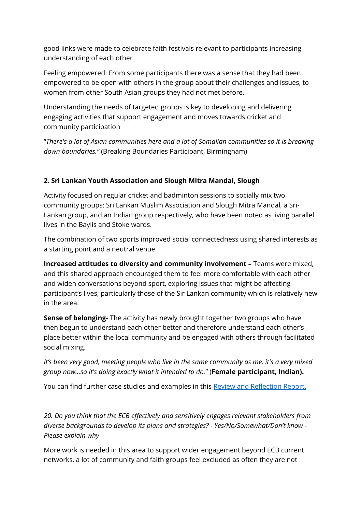good links were made to celebrate faith festivals relevant to participants increasing understanding of each other

Feeling empowered: From some participants there was a sense that they had been empowered to be open with others in the group about their challenges and issues, to women from other South Asian groups they had not met before.

Understanding the needs of targeted groups is key to developing and delivering engaging activities that support engagement and moves towards cricket and community participation

"*There's a lot of Asian communities here and a lot of Somalian communities so it is breaking down boundaries."* (Breaking Boundaries Participant, Birmingham)

## **2. Sri Lankan Youth Association and Slough Mitra Mandal, Slough**

Activity focused on regular cricket and badminton sessions to socially mix two community groups: Sri Lankan Muslim Association and Slough Mitra Mandal, a Sri-Lankan group, and an Indian group respectively, who have been noted as living parallel lives in the Baylis and Stoke wards.

The combination of two sports improved social connectedness using shared interests as a starting point and a neutral venue.

**Increased attitudes to diversity and community involvement –** Teams were mixed, and this shared approach encouraged them to feel more comfortable with each other and widen conversations beyond sport, exploring issues that might be affecting participant's lives, particularly those of the Sir Lankan community which is relatively new in the area.

**Sense of belonging-** The activity has newly brought together two groups who have then begun to understand each other better and therefore understand each other's place better within the local community and be engaged with others through facilitated social mixing.

## *It's been very good, meeting people who live in the same community as me, it's a very mixed group now…so it's doing exactly what it intended to do.*" (**Female participant, Indian).**

You can find further case studies and examples in this [Review and Reflection Report.](https://www.youthsporttrust.org/media/otll2cg0/review-and-reflection-report.pdf)

*20. Do you think that the ECB effectively and sensitively engages relevant stakeholders from diverse backgrounds to develop its plans and strategies? - Yes/No/Somewhat/Don't know - Please explain why*

More work is needed in this area to support wider engagement beyond ECB current networks, a lot of community and faith groups feel excluded as often they are not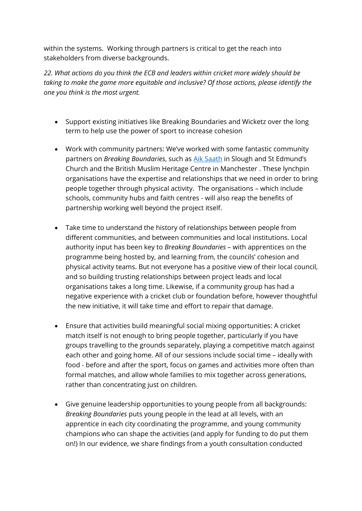within the systems. Working through partners is critical to get the reach into stakeholders from diverse backgrounds.

*22. What actions do you think the ECB and leaders within cricket more widely should be taking to make the game more equitable and inclusive? Of those actions, please identify the one you think is the most urgent.*

- Support existing initiatives like Breaking Boundaries and Wicketz over the long term to help use the power of sport to increase cohesion
- Work with community partners: We've worked with some fantastic community partners on *Breaking Boundaries*, such as [Aik Saath](http://www.aiksaath.com/) in Slough and St Edmund's Church and the British Muslim Heritage Centre in Manchester . These lynchpin organisations have the expertise and relationships that we need in order to bring people together through physical activity. The organisations – which include schools, community hubs and faith centres - will also reap the benefits of partnership working well beyond the project itself.
- Take time to understand the history of relationships between people from different communities, and between communities and local institutions. Local authority input has been key to *Breaking Boundaries* – with apprentices on the programme being hosted by, and learning from, the councils' cohesion and physical activity teams. But not everyone has a positive view of their local council, and so building trusting relationships between project leads and local organisations takes a long time. Likewise, if a community group has had a negative experience with a cricket club or foundation before, however thoughtful the new initiative, it will take time and effort to repair that damage.
- Ensure that activities build meaningful social mixing opportunities: A cricket match itself is not enough to bring people together, particularly if you have groups travelling to the grounds separately, playing a competitive match against each other and going home. All of our sessions include social time – ideally with food - before and after the sport, focus on games and activities more often than formal matches, and allow whole families to mix together across generations, rather than concentrating just on children.
- Give genuine leadership opportunities to young people from all backgrounds: *Breaking Boundaries* puts young people in the lead at all levels, with an apprentice in each city coordinating the programme, and young community champions who can shape the activities (and apply for funding to do put them on!) In our evidence, we share findings from a youth consultation conducted